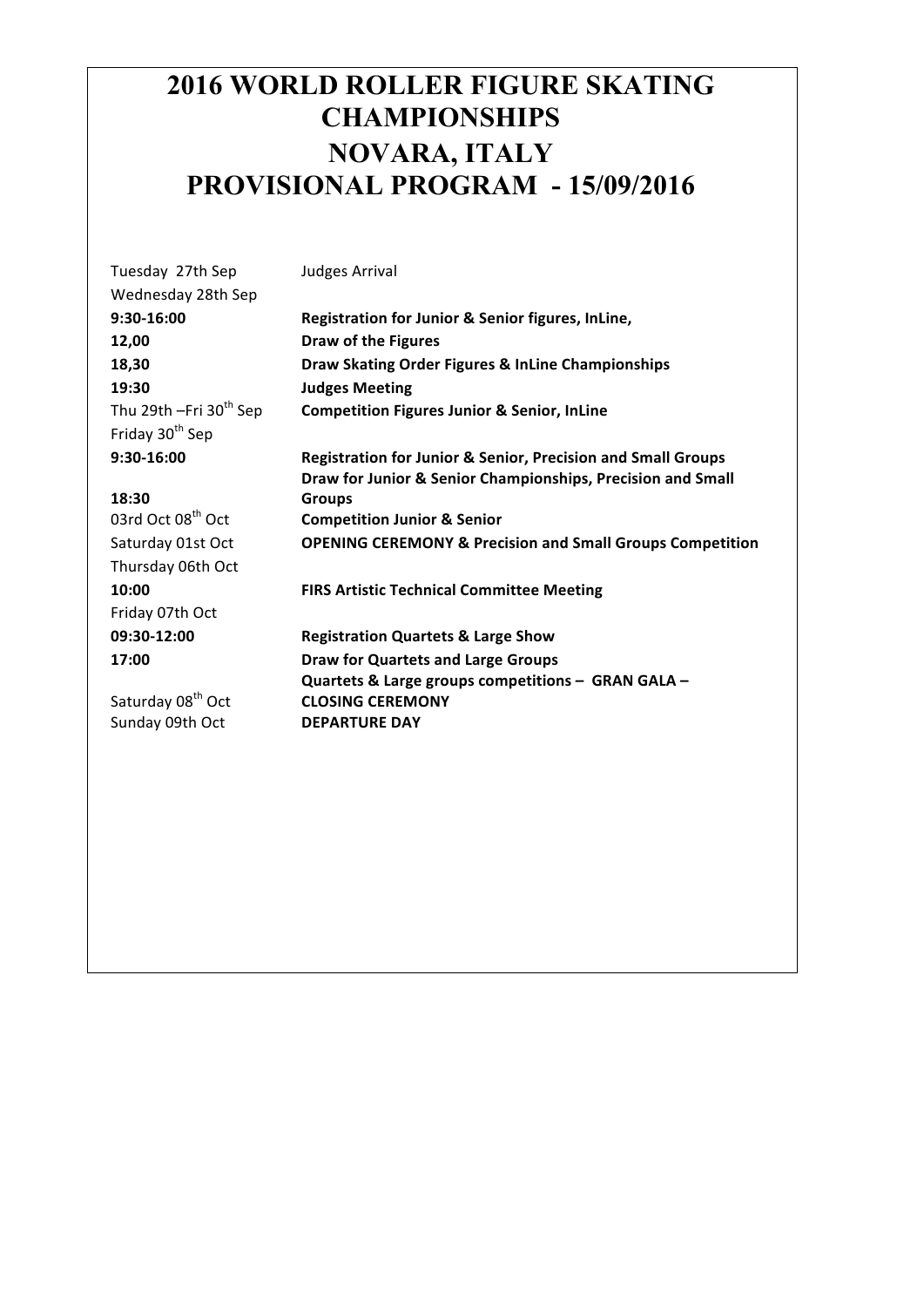## **2016 WORLD ROLLER FIGURE SKATING CHAMPIONSHIPS NOVARA, ITALY PROVISIONAL PROGRAM - 15/09/2016**

| Tuesday 27th Sep                     | Judges Arrival                                                          |
|--------------------------------------|-------------------------------------------------------------------------|
| Wednesday 28th Sep                   |                                                                         |
| 9:30-16:00                           | Registration for Junior & Senior figures, InLine,                       |
| 12,00                                | <b>Draw of the Figures</b>                                              |
| 18,30                                | Draw Skating Order Figures & InLine Championships                       |
| 19:30                                | <b>Judges Meeting</b>                                                   |
| Thu 29th $-Fri$ 30 <sup>th</sup> Sep | <b>Competition Figures Junior &amp; Senior, InLine</b>                  |
| Friday 30 <sup>th</sup> Sep          |                                                                         |
| 9:30-16:00                           | <b>Registration for Junior &amp; Senior, Precision and Small Groups</b> |
|                                      | Draw for Junior & Senior Championships, Precision and Small             |
| 18:30                                | <b>Groups</b>                                                           |
| 03rd Oct 08 <sup>th</sup> Oct        | <b>Competition Junior &amp; Senior</b>                                  |
| Saturday 01st Oct                    | <b>OPENING CEREMONY &amp; Precision and Small Groups Competition</b>    |
| Thursday 06th Oct                    |                                                                         |
| 10:00                                | <b>FIRS Artistic Technical Committee Meeting</b>                        |
| Friday 07th Oct                      |                                                                         |
| 09:30-12:00                          | <b>Registration Quartets &amp; Large Show</b>                           |
| 17:00                                | <b>Draw for Quartets and Large Groups</b>                               |
|                                      | Quartets & Large groups competitions - GRAN GALA -                      |
| Saturday 08 <sup>th</sup> Oct        | <b>CLOSING CEREMONY</b>                                                 |
| Sunday 09th Oct                      | <b>DEPARTURE DAY</b>                                                    |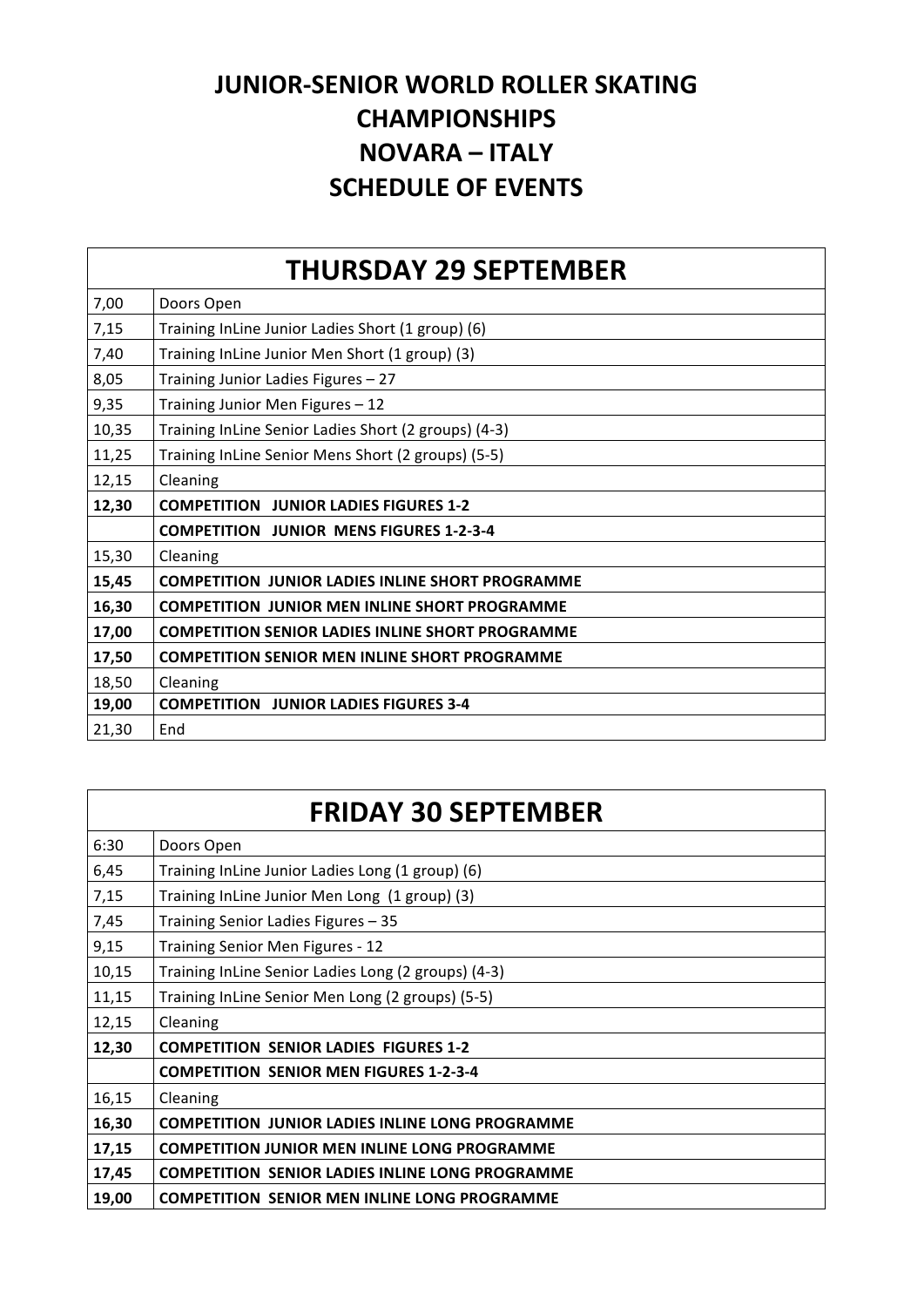## **JUNIOR-SENIOR WORLD ROLLER SKATING CHAMPIONSHIPS NOVARA – ITALY SCHEDULE OF EVENTS**

|       | <b>THURSDAY 29 SEPTEMBER</b>                            |
|-------|---------------------------------------------------------|
| 7,00  | Doors Open                                              |
| 7,15  | Training InLine Junior Ladies Short (1 group) (6)       |
| 7,40  | Training InLine Junior Men Short (1 group) (3)          |
| 8,05  | Training Junior Ladies Figures - 27                     |
| 9,35  | Training Junior Men Figures - 12                        |
| 10,35 | Training InLine Senior Ladies Short (2 groups) (4-3)    |
| 11,25 | Training InLine Senior Mens Short (2 groups) (5-5)      |
| 12,15 | Cleaning                                                |
| 12,30 |                                                         |
|       | <b>COMPETITION JUNIOR LADIES FIGURES 1-2</b>            |
|       | <b>COMPETITION JUNIOR MENS FIGURES 1-2-3-4</b>          |
| 15,30 | Cleaning                                                |
| 15,45 | <b>COMPETITION JUNIOR LADIES INLINE SHORT PROGRAMME</b> |
| 16,30 | <b>COMPETITION JUNIOR MEN INLINE SHORT PROGRAMME</b>    |
| 17,00 | <b>COMPETITION SENIOR LADIES INLINE SHORT PROGRAMME</b> |
| 17,50 | <b>COMPETITION SENIOR MEN INLINE SHORT PROGRAMME</b>    |
| 18,50 | Cleaning                                                |
| 19,00 | <b>COMPETITION JUNIOR LADIES FIGURES 3-4</b>            |

|       | <b>FRIDAY 30 SEPTEMBER</b>                             |
|-------|--------------------------------------------------------|
| 6:30  | Doors Open                                             |
| 6,45  | Training InLine Junior Ladies Long (1 group) (6)       |
| 7,15  | Training InLine Junior Men Long (1 group) (3)          |
| 7,45  | Training Senior Ladies Figures - 35                    |
| 9,15  | Training Senior Men Figures - 12                       |
| 10,15 | Training InLine Senior Ladies Long (2 groups) (4-3)    |
| 11,15 | Training InLine Senior Men Long (2 groups) (5-5)       |
| 12,15 | Cleaning                                               |
| 12,30 | <b>COMPETITION SENIOR LADIES FIGURES 1-2</b>           |
|       | <b>COMPETITION SENIOR MEN FIGURES 1-2-3-4</b>          |
| 16,15 | Cleaning                                               |
| 16,30 | <b>COMPETITION JUNIOR LADIES INLINE LONG PROGRAMME</b> |
| 17,15 | <b>COMPETITION JUNIOR MEN INLINE LONG PROGRAMME</b>    |
| 17,45 | <b>COMPETITION SENIOR LADIES INLINE LONG PROGRAMME</b> |
| 19,00 | <b>COMPETITION SENIOR MEN INLINE LONG PROGRAMME</b>    |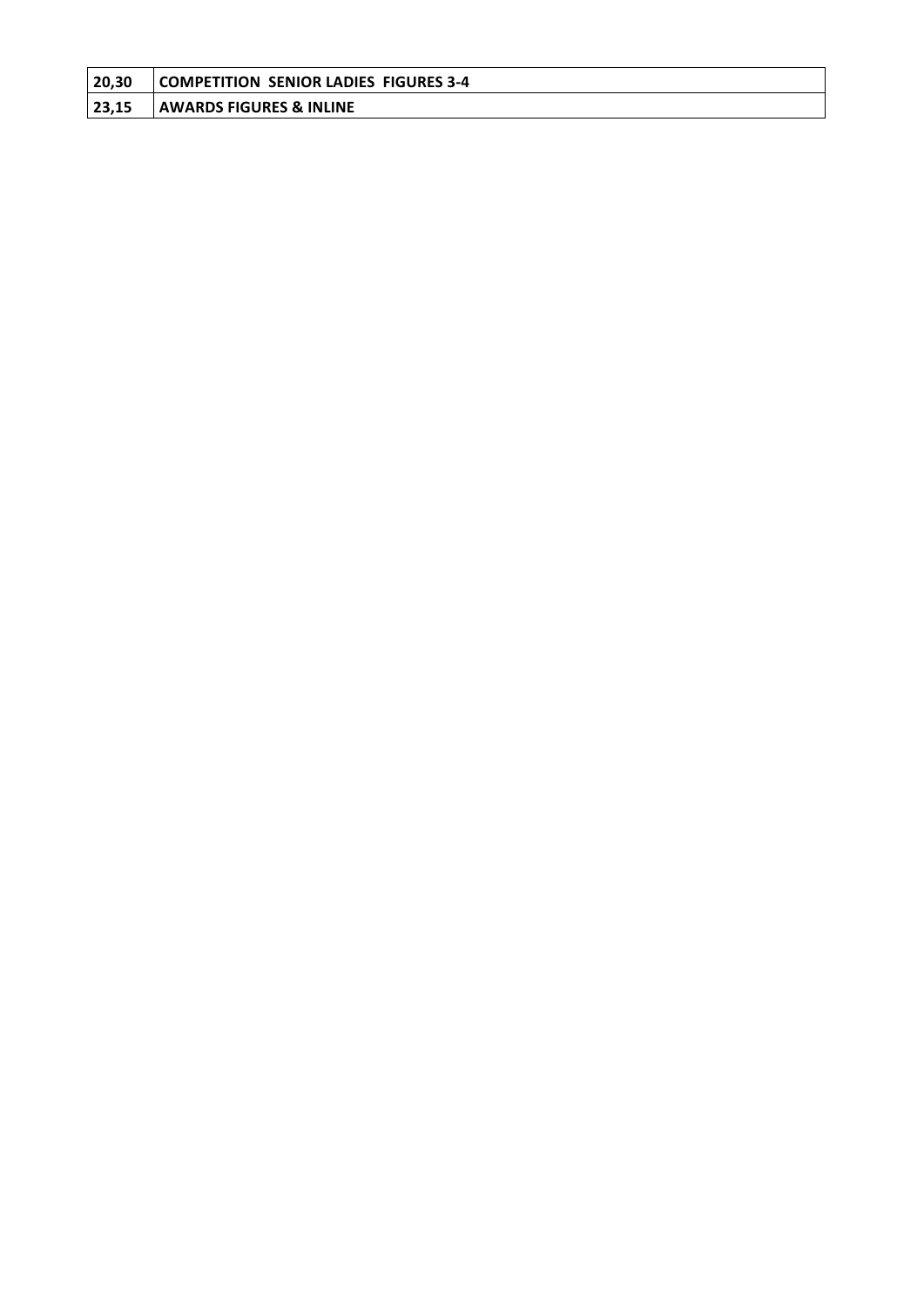| 20,30 | COMPETITION SENIOR LADIES FIGURES 3-4 |
|-------|---------------------------------------|
| 23,15 | <b>AWARDS FIGURES &amp; INLINE</b>    |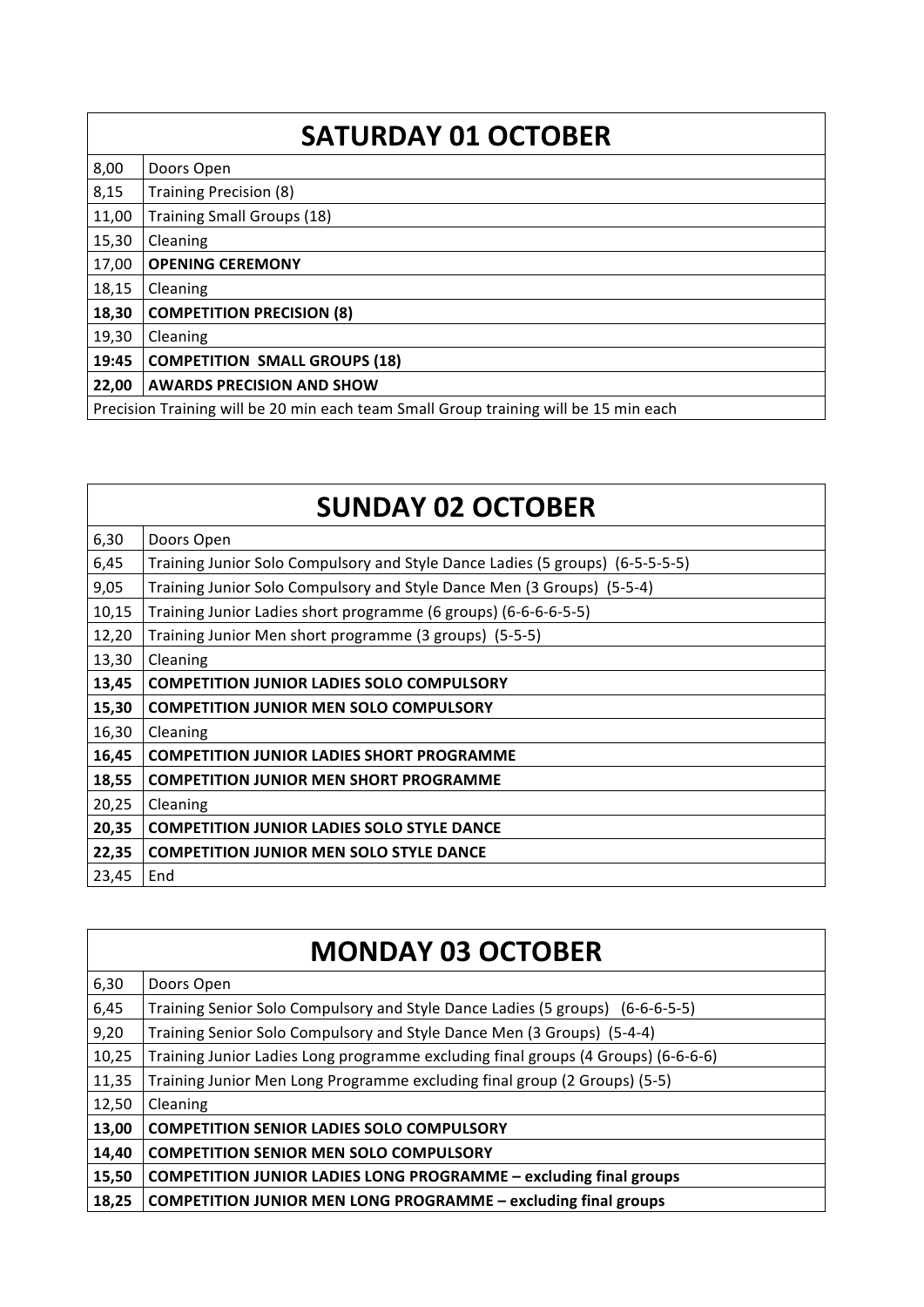|                                                                                      | <b>SATURDAY 01 OCTOBER</b>           |
|--------------------------------------------------------------------------------------|--------------------------------------|
| 8,00                                                                                 | Doors Open                           |
| 8,15                                                                                 | <b>Training Precision (8)</b>        |
| 11,00                                                                                | <b>Training Small Groups (18)</b>    |
| 15,30                                                                                | Cleaning                             |
| 17,00                                                                                | <b>OPENING CEREMONY</b>              |
| 18,15                                                                                | Cleaning                             |
| 18,30                                                                                | <b>COMPETITION PRECISION (8)</b>     |
| 19,30                                                                                | Cleaning                             |
| 19:45                                                                                | <b>COMPETITION SMALL GROUPS (18)</b> |
| 22,00                                                                                | <b>AWARDS PRECISION AND SHOW</b>     |
| Precision Training will be 20 min each team Small Group training will be 15 min each |                                      |

|       | <b>SUNDAY 02 OCTOBER</b>                                                      |
|-------|-------------------------------------------------------------------------------|
| 6,30  | Doors Open                                                                    |
| 6,45  | Training Junior Solo Compulsory and Style Dance Ladies (5 groups) (6-5-5-5-5) |
| 9,05  | Training Junior Solo Compulsory and Style Dance Men (3 Groups) (5-5-4)        |
| 10,15 | Training Junior Ladies short programme (6 groups) (6-6-6-6-5-5)               |
| 12,20 | Training Junior Men short programme (3 groups) (5-5-5)                        |
| 13,30 | Cleaning                                                                      |
| 13,45 | <b>COMPETITION JUNIOR LADIES SOLO COMPULSORY</b>                              |
| 15,30 | <b>COMPETITION JUNIOR MEN SOLO COMPULSORY</b>                                 |
| 16,30 | Cleaning                                                                      |
| 16,45 | <b>COMPETITION JUNIOR LADIES SHORT PROGRAMME</b>                              |
| 18,55 | <b>COMPETITION JUNIOR MEN SHORT PROGRAMME</b>                                 |
| 20,25 | Cleaning                                                                      |
| 20,35 | <b>COMPETITION JUNIOR LADIES SOLO STYLE DANCE</b>                             |
| 22,35 | <b>COMPETITION JUNIOR MEN SOLO STYLE DANCE</b>                                |
| 23,45 | End                                                                           |

| <b>MONDAY 03 OCTOBER</b> |                                                                                   |
|--------------------------|-----------------------------------------------------------------------------------|
| 6,30                     | Doors Open                                                                        |
| 6,45                     | Training Senior Solo Compulsory and Style Dance Ladies (5 groups) (6-6-6-5-5)     |
| 9,20                     | Training Senior Solo Compulsory and Style Dance Men (3 Groups) (5-4-4)            |
| 10,25                    | Training Junior Ladies Long programme excluding final groups (4 Groups) (6-6-6-6) |
| 11,35                    | Training Junior Men Long Programme excluding final group (2 Groups) (5-5)         |
| 12,50                    | Cleaning                                                                          |
| 13,00                    | <b>COMPETITION SENIOR LADIES SOLO COMPULSORY</b>                                  |
| 14,40                    | <b>COMPETITION SENIOR MEN SOLO COMPULSORY</b>                                     |
| 15,50                    | <b>COMPETITION JUNIOR LADIES LONG PROGRAMME - excluding final groups</b>          |
| 18,25                    | <b>COMPETITION JUNIOR MEN LONG PROGRAMME - excluding final groups</b>             |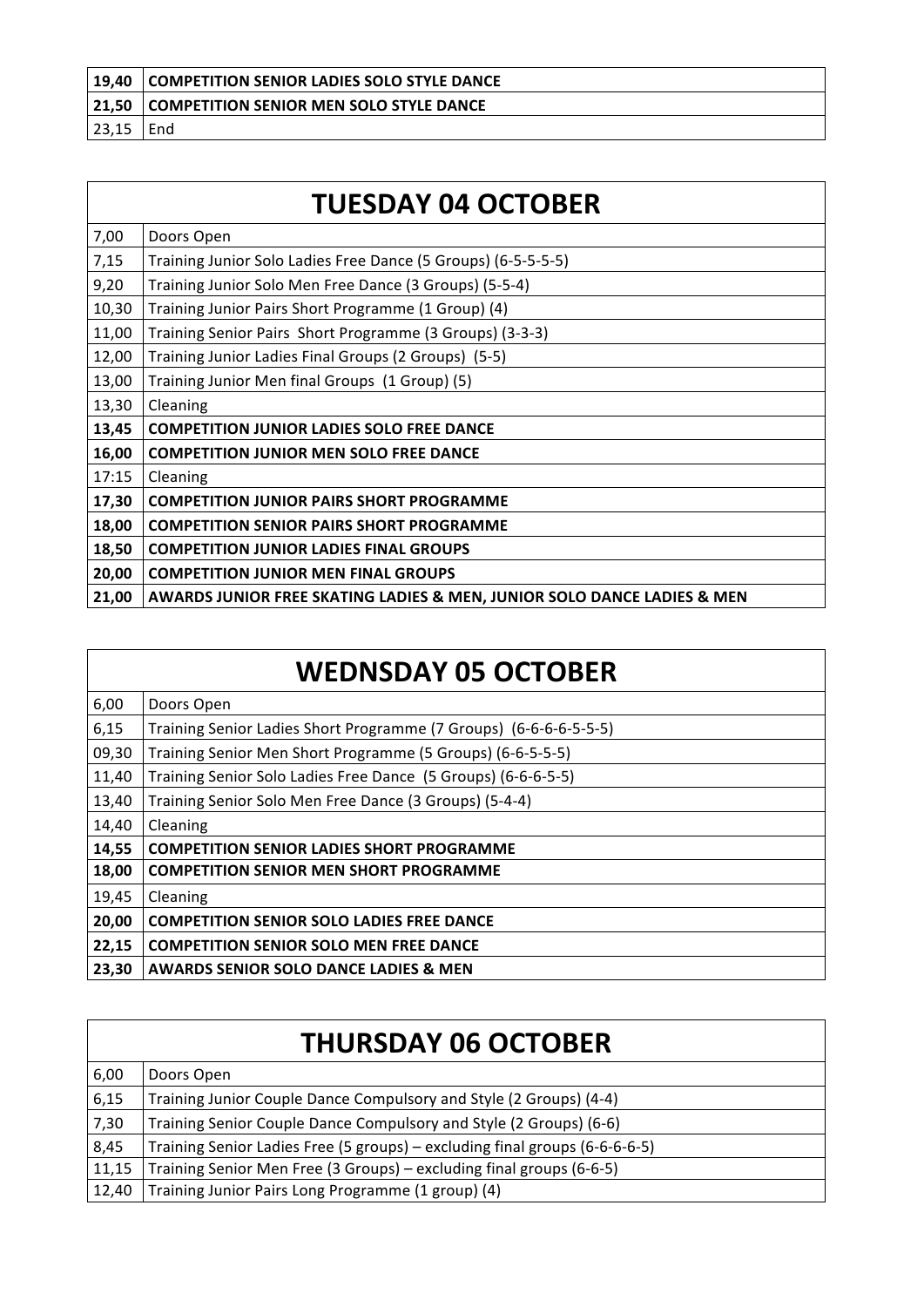| $ 19.40\rangle$ | COMPETITION SENIOR LADIES SOLO STYLE DANCE |
|-----------------|--------------------------------------------|
| $ 21,50\rangle$ | COMPETITION SENIOR MEN SOLO STYLE DANCE    |
| 23,15           | End                                        |

|       | <b>TUESDAY 04 OCTOBER</b>                                               |
|-------|-------------------------------------------------------------------------|
| 7,00  | Doors Open                                                              |
| 7,15  | Training Junior Solo Ladies Free Dance (5 Groups) (6-5-5-5-5)           |
| 9,20  | Training Junior Solo Men Free Dance (3 Groups) (5-5-4)                  |
| 10,30 | Training Junior Pairs Short Programme (1 Group) (4)                     |
| 11,00 | Training Senior Pairs Short Programme (3 Groups) (3-3-3)                |
| 12,00 | Training Junior Ladies Final Groups (2 Groups) (5-5)                    |
| 13,00 | Training Junior Men final Groups (1 Group) (5)                          |
| 13,30 | Cleaning                                                                |
| 13,45 | <b>COMPETITION JUNIOR LADIES SOLO FREE DANCE</b>                        |
| 16,00 | <b>COMPETITION JUNIOR MEN SOLO FREE DANCE</b>                           |
| 17:15 | Cleaning                                                                |
| 17,30 | <b>COMPETITION JUNIOR PAIRS SHORT PROGRAMME</b>                         |
| 18,00 | <b>COMPETITION SENIOR PAIRS SHORT PROGRAMME</b>                         |
| 18,50 | <b>COMPETITION JUNIOR LADIES FINAL GROUPS</b>                           |
| 20,00 | <b>COMPETITION JUNIOR MEN FINAL GROUPS</b>                              |
| 21,00 | AWARDS JUNIOR FREE SKATING LADIES & MEN, JUNIOR SOLO DANCE LADIES & MEN |

| 6,00  | Doors Open                                                        |
|-------|-------------------------------------------------------------------|
| 6,15  | Training Senior Ladies Short Programme (7 Groups) (6-6-6-6-5-5-5) |
| 09,30 | Training Senior Men Short Programme (5 Groups) (6-6-5-5-5)        |
| 11,40 | Training Senior Solo Ladies Free Dance (5 Groups) (6-6-6-5-5)     |
| 13,40 | Training Senior Solo Men Free Dance (3 Groups) (5-4-4)            |
| 14,40 | Cleaning                                                          |
| 14,55 | <b>COMPETITION SENIOR LADIES SHORT PROGRAMME</b>                  |
| 18,00 | <b>COMPETITION SENIOR MEN SHORT PROGRAMME</b>                     |
| 19,45 | Cleaning                                                          |
| 20,00 | <b>COMPETITION SENIOR SOLO LADIES FREE DANCE</b>                  |
| 22,15 | <b>COMPETITION SENIOR SOLO MEN FREE DANCE</b>                     |
| 23,30 | <b>AWARDS SENIOR SOLO DANCE LADIES &amp; MEN</b>                  |

|       | <b>THURSDAY 06 OCTOBER</b>                                                  |
|-------|-----------------------------------------------------------------------------|
| 6,00  | Doors Open                                                                  |
| 6,15  | Training Junior Couple Dance Compulsory and Style (2 Groups) (4-4)          |
| 7,30  | Training Senior Couple Dance Compulsory and Style (2 Groups) (6-6)          |
| 8,45  | Training Senior Ladies Free (5 groups) - excluding final groups (6-6-6-6-5) |
| 11,15 | Training Senior Men Free (3 Groups) – excluding final groups (6-6-5)        |
| 12,40 | Training Junior Pairs Long Programme (1 group) (4)                          |